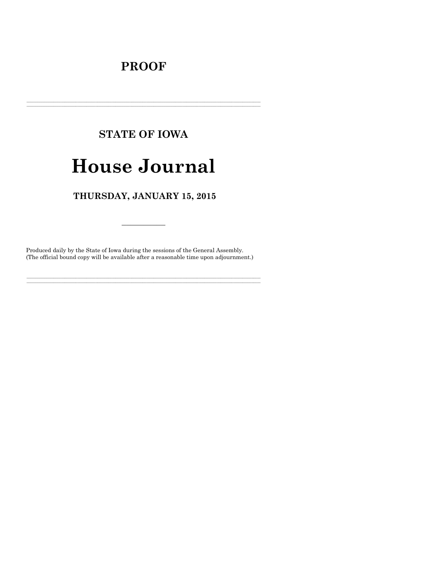## **PROOF**

# **STATE OF IOWA**

# **House Journal**

## THURSDAY, JANUARY 15, 2015

Produced daily by the State of Iowa during the sessions of the General Assembly. (The official bound copy will be available after a reasonable time upon adjournment.)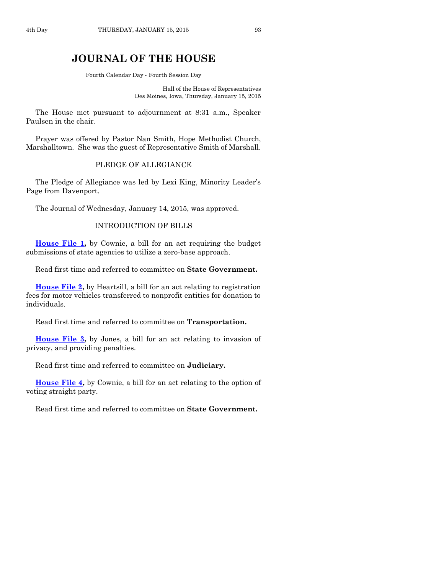### **JOURNAL OF THE HOUSE**

Fourth Calendar Day - Fourth Session Day

Hall of the House of Representatives Des Moines, Iowa, Thursday, January 15, 2015

The House met pursuant to adjournment at 8:31 a.m., Speaker Paulsen in the chair.

Prayer was offered by Pastor Nan Smith, Hope Methodist Church, Marshalltown. She was the guest of Representative Smith of Marshall.

#### PLEDGE OF ALLEGIANCE

The Pledge of Allegiance was led by Lexi King, Minority Leader's Page from Davenport.

The Journal of Wednesday, January 14, 2015, was approved.

#### INTRODUCTION OF BILLS

**[House File 1,](http://coolice.legis.iowa.gov/Cool-ICE/default.asp?Category=billinfo&Service=Billbook&frame=1&GA=86&hbill=HF1)** by Cownie, a bill for an act requiring the budget submissions of state agencies to utilize a zero-base approach.

Read first time and referred to committee on **State Government.**

**[House File 2,](http://coolice.legis.iowa.gov/Cool-ICE/default.asp?Category=billinfo&Service=Billbook&frame=1&GA=86&hbill=HF2)** by Heartsill, a bill for an act relating to registration fees for motor vehicles transferred to nonprofit entities for donation to individuals.

Read first time and referred to committee on **Transportation.**

**[House File 3,](http://coolice.legis.iowa.gov/Cool-ICE/default.asp?Category=billinfo&Service=Billbook&frame=1&GA=86&hbill=HF3)** by Jones, a bill for an act relating to invasion of privacy, and providing penalties.

Read first time and referred to committee on **Judiciary.**

**[House File 4,](http://coolice.legis.iowa.gov/Cool-ICE/default.asp?Category=billinfo&Service=Billbook&frame=1&GA=86&hbill=HF4)** by Cownie, a bill for an act relating to the option of voting straight party.

Read first time and referred to committee on **State Government.**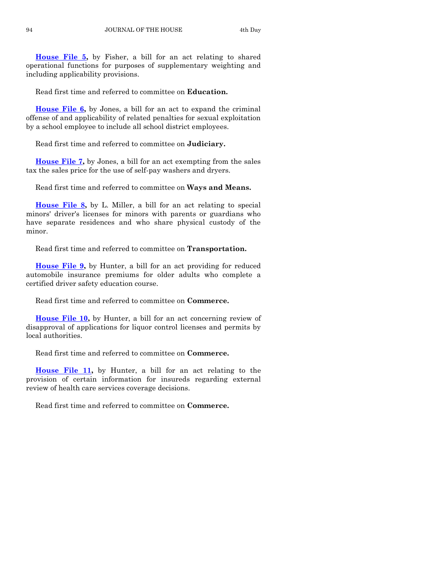**[House File 5,](http://coolice.legis.iowa.gov/Cool-ICE/default.asp?Category=billinfo&Service=Billbook&frame=1&GA=86&hbill=HF5)** by Fisher, a bill for an act relating to shared operational functions for purposes of supplementary weighting and including applicability provisions.

Read first time and referred to committee on **Education.**

**[House File 6,](http://coolice.legis.iowa.gov/Cool-ICE/default.asp?Category=billinfo&Service=Billbook&frame=1&GA=86&hbill=HF6)** by Jones, a bill for an act to expand the criminal offense of and applicability of related penalties for sexual exploitation by a school employee to include all school district employees.

Read first time and referred to committee on **Judiciary.**

**[House File 7,](http://coolice.legis.iowa.gov/Cool-ICE/default.asp?Category=billinfo&Service=Billbook&frame=1&GA=86&hbill=HF7)** by Jones, a bill for an act exempting from the sales tax the sales price for the use of self-pay washers and dryers.

Read first time and referred to committee on **Ways and Means.**

**[House File 8,](http://coolice.legis.iowa.gov/Cool-ICE/default.asp?Category=billinfo&Service=Billbook&frame=1&GA=86&hbill=HF8)** by L. Miller, a bill for an act relating to special minors' driver's licenses for minors with parents or guardians who have separate residences and who share physical custody of the minor.

Read first time and referred to committee on **Transportation.**

**[House File 9,](http://coolice.legis.iowa.gov/Cool-ICE/default.asp?Category=billinfo&Service=Billbook&frame=1&GA=86&hbill=HF9)** by Hunter, a bill for an act providing for reduced automobile insurance premiums for older adults who complete a certified driver safety education course.

Read first time and referred to committee on **Commerce.**

**[House File 10,](http://coolice.legis.iowa.gov/Cool-ICE/default.asp?Category=billinfo&Service=Billbook&frame=1&GA=86&hbill=HF10)** by Hunter, a bill for an act concerning review of disapproval of applications for liquor control licenses and permits by local authorities.

Read first time and referred to committee on **Commerce.**

**[House File 11,](http://coolice.legis.iowa.gov/Cool-ICE/default.asp?Category=billinfo&Service=Billbook&frame=1&GA=86&hbill=HF11)** by Hunter, a bill for an act relating to the provision of certain information for insureds regarding external review of health care services coverage decisions.

Read first time and referred to committee on **Commerce.**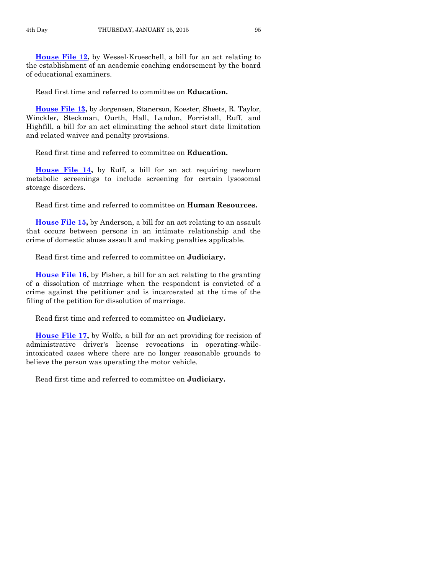**[House File 12,](http://coolice.legis.iowa.gov/Cool-ICE/default.asp?Category=billinfo&Service=Billbook&frame=1&GA=86&hbill=HF12)** by Wessel-Kroeschell, a bill for an act relating to the establishment of an academic coaching endorsement by the board of educational examiners.

Read first time and referred to committee on **Education.**

**[House File 13,](http://coolice.legis.iowa.gov/Cool-ICE/default.asp?Category=billinfo&Service=Billbook&frame=1&GA=86&hbill=HF13)** by Jorgensen, Stanerson, Koester, Sheets, R. Taylor, Winckler, Steckman, Ourth, Hall, Landon, Forristall, Ruff, and Highfill, a bill for an act eliminating the school start date limitation and related waiver and penalty provisions.

Read first time and referred to committee on **Education.**

**[House File 14,](http://coolice.legis.iowa.gov/Cool-ICE/default.asp?Category=billinfo&Service=Billbook&frame=1&GA=86&hbill=HF14)** by Ruff, a bill for an act requiring newborn metabolic screenings to include screening for certain lysosomal storage disorders.

Read first time and referred to committee on **Human Resources.**

**[House File](http://coolice.legis.iowa.gov/Cool-ICE/default.asp?Category=billinfo&Service=Billbook&frame=1&GA=86&hbill=HF15) 15,** by Anderson, a bill for an act relating to an assault that occurs between persons in an intimate relationship and the crime of domestic abuse assault and making penalties applicable.

Read first time and referred to committee on **Judiciary.**

**[House File 16,](http://coolice.legis.iowa.gov/Cool-ICE/default.asp?Category=billinfo&Service=Billbook&frame=1&GA=86&hbill=HF16)** by Fisher, a bill for an act relating to the granting of a dissolution of marriage when the respondent is convicted of a crime against the petitioner and is incarcerated at the time of the filing of the petition for dissolution of marriage.

Read first time and referred to committee on **Judiciary.**

**[House File 17,](http://coolice.legis.iowa.gov/Cool-ICE/default.asp?Category=billinfo&Service=Billbook&frame=1&GA=86&hbill=HF17)** by Wolfe, a bill for an act providing for recision of administrative driver's license revocations in operating-whileintoxicated cases where there are no longer reasonable grounds to believe the person was operating the motor vehicle.

Read first time and referred to committee on **Judiciary.**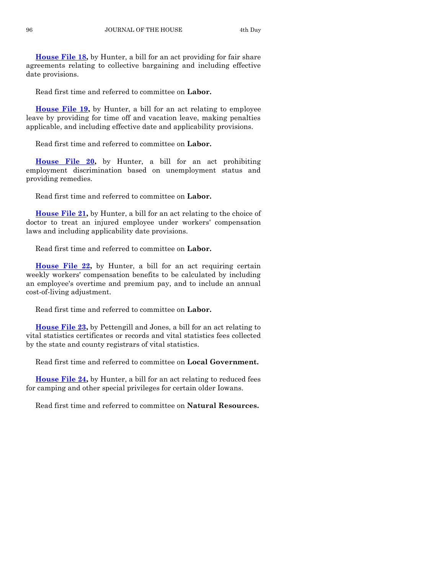**[House File 18,](http://coolice.legis.iowa.gov/Cool-ICE/default.asp?Category=billinfo&Service=Billbook&frame=1&GA=86&hbill=HF18)** by Hunter, a bill for an act providing for fair share agreements relating to collective bargaining and including effective date provisions.

Read first time and referred to committee on **Labor.**

**[House File 19,](http://coolice.legis.iowa.gov/Cool-ICE/default.asp?Category=billinfo&Service=Billbook&frame=1&GA=86&hbill=HF19)** by Hunter, a bill for an act relating to employee leave by providing for time off and vacation leave, making penalties applicable, and including effective date and applicability provisions.

Read first time and referred to committee on **Labor.**

**[House File 20,](http://coolice.legis.iowa.gov/Cool-ICE/default.asp?Category=billinfo&Service=Billbook&frame=1&GA=86&hbill=HF20)** by Hunter, a bill for an act prohibiting employment discrimination based on unemployment status and providing remedies.

Read first time and referred to committee on **Labor.**

**[House File 21,](http://coolice.legis.iowa.gov/Cool-ICE/default.asp?Category=billinfo&Service=Billbook&frame=1&GA=86&hbill=HF21)** by Hunter, a bill for an act relating to the choice of doctor to treat an injured employee under workers' compensation laws and including applicability date provisions.

Read first time and referred to committee on **Labor.**

**[House File 22,](http://coolice.legis.iowa.gov/Cool-ICE/default.asp?Category=billinfo&Service=Billbook&frame=1&GA=86&hbill=HF22)** by Hunter, a bill for an act requiring certain weekly workers' compensation benefits to be calculated by including an employee's overtime and premium pay, and to include an annual cost-of-living adjustment.

Read first time and referred to committee on **Labor.**

**[House File 23,](http://coolice.legis.iowa.gov/Cool-ICE/default.asp?Category=billinfo&Service=Billbook&frame=1&GA=86&hbill=HF23)** by Pettengill and Jones, a bill for an act relating to vital statistics certificates or records and vital statistics fees collected by the state and county registrars of vital statistics.

Read first time and referred to committee on **Local Government.**

**[House File 24,](http://coolice.legis.iowa.gov/Cool-ICE/default.asp?Category=billinfo&Service=Billbook&frame=1&GA=86&hbill=HF24)** by Hunter, a bill for an act relating to reduced fees for camping and other special privileges for certain older Iowans.

Read first time and referred to committee on **Natural Resources.**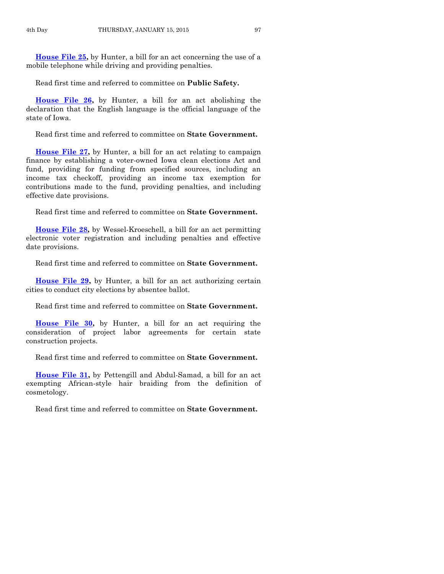**[House File 25,](http://coolice.legis.iowa.gov/Cool-ICE/default.asp?Category=billinfo&Service=Billbook&frame=1&GA=86&hbill=HF25)** by Hunter, a bill for an act concerning the use of a mobile telephone while driving and providing penalties.

Read first time and referred to committee on **Public Safety.**

**[House File 26,](http://coolice.legis.iowa.gov/Cool-ICE/default.asp?Category=billinfo&Service=Billbook&frame=1&GA=86&hbill=HF26)** by Hunter, a bill for an act abolishing the declaration that the English language is the official language of the state of Iowa.

Read first time and referred to committee on **State Government.**

**[House File 27,](http://coolice.legis.iowa.gov/Cool-ICE/default.asp?Category=billinfo&Service=Billbook&frame=1&GA=86&hbill=HF27)** by Hunter, a bill for an act relating to campaign finance by establishing a voter-owned Iowa clean elections Act and fund, providing for funding from specified sources, including an income tax checkoff, providing an income tax exemption for contributions made to the fund, providing penalties, and including effective date provisions.

Read first time and referred to committee on **State Government.**

**[House File 28,](http://coolice.legis.iowa.gov/Cool-ICE/default.asp?Category=billinfo&Service=Billbook&frame=1&GA=86&hbill=HF28)** by Wessel-Kroeschell, a bill for an act permitting electronic voter registration and including penalties and effective date provisions.

Read first time and referred to committee on **State Government.**

**[House File 29,](http://coolice.legis.iowa.gov/Cool-ICE/default.asp?Category=billinfo&Service=Billbook&frame=1&GA=86&hbill=HF29)** by Hunter, a bill for an act authorizing certain cities to conduct city elections by absentee ballot.

Read first time and referred to committee on **State Government.**

**[House File 30,](http://coolice.legis.iowa.gov/Cool-ICE/default.asp?Category=billinfo&Service=Billbook&frame=1&GA=86&hbill=HF30)** by Hunter, a bill for an act requiring the consideration of project labor agreements for certain state construction projects.

Read first time and referred to committee on **State Government.**

**[House File 31,](http://coolice.legis.iowa.gov/Cool-ICE/default.asp?Category=billinfo&Service=Billbook&frame=1&GA=86&hbill=HF31)** by Pettengill and Abdul-Samad, a bill for an act exempting African-style hair braiding from the definition of cosmetology.

Read first time and referred to committee on **State Government.**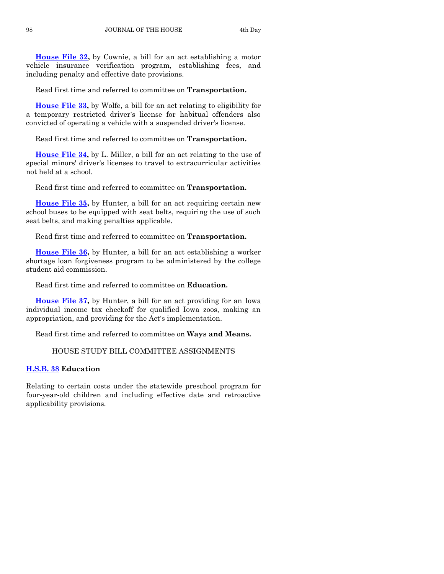**[House File 32,](http://coolice.legis.iowa.gov/Cool-ICE/default.asp?Category=billinfo&Service=Billbook&frame=1&GA=86&hbill=HF32)** by Cownie, a bill for an act establishing a motor vehicle insurance verification program, establishing fees, and including penalty and effective date provisions.

Read first time and referred to committee on **Transportation.**

**[House File 33,](http://coolice.legis.iowa.gov/Cool-ICE/default.asp?Category=billinfo&Service=Billbook&frame=1&GA=86&hbill=HF33)** by Wolfe, a bill for an act relating to eligibility for a temporary restricted driver's license for habitual offenders also convicted of operating a vehicle with a suspended driver's license.

Read first time and referred to committee on **Transportation.**

**[House File 34,](http://coolice.legis.iowa.gov/Cool-ICE/default.asp?Category=billinfo&Service=Billbook&frame=1&GA=86&hbill=HF34)** by L. Miller, a bill for an act relating to the use of special minors' driver's licenses to travel to extracurricular activities not held at a school.

Read first time and referred to committee on **Transportation.**

**[House File 35,](http://coolice.legis.iowa.gov/Cool-ICE/default.asp?Category=billinfo&Service=Billbook&frame=1&GA=86&hbill=HF35)** by Hunter, a bill for an act requiring certain new school buses to be equipped with seat belts, requiring the use of such seat belts, and making penalties applicable.

Read first time and referred to committee on **Transportation.**

**[House File 36,](http://coolice.legis.iowa.gov/Cool-ICE/default.asp?Category=billinfo&Service=Billbook&frame=1&GA=86&hbill=HF36)** by Hunter, a bill for an act establishing a worker shortage loan forgiveness program to be administered by the college student aid commission.

Read first time and referred to committee on **Education.**

**[House File 37,](http://coolice.legis.iowa.gov/Cool-ICE/default.asp?Category=billinfo&Service=Billbook&frame=1&GA=86&hbill=HF37)** by Hunter, a bill for an act providing for an Iowa individual income tax checkoff for qualified Iowa zoos, making an appropriation, and providing for the Act's implementation.

Read first time and referred to committee on **Ways and Means.**

#### HOUSE STUDY BILL COMMITTEE ASSIGNMENTS

#### **[H.S.B.](http://coolice.legis.iowa.gov/Cool-ICE/default.asp?Category=billinfo&Service=Billbook&frame=1&GA=86&hbill=HSB38) 38 Education**

Relating to certain costs under the statewide preschool program for four-year-old children and including effective date and retroactive applicability provisions.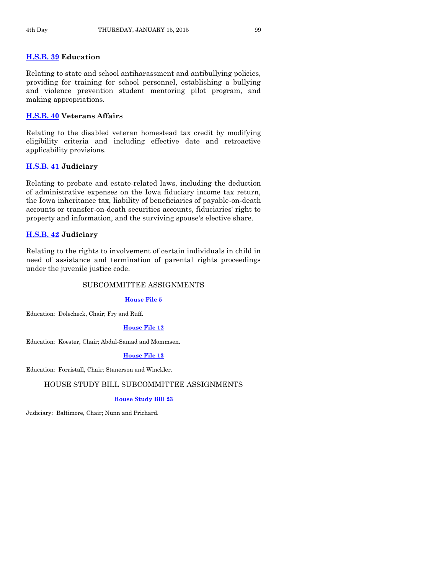#### **[H.S.B. 39](http://coolice.legis.iowa.gov/Cool-ICE/default.asp?Category=billinfo&Service=Billbook&frame=1&GA=86&hbill=HSB39) Education**

Relating to state and school antiharassment and antibullying policies, providing for training for school personnel, establishing a bullying and violence prevention student mentoring pilot program, and making appropriations.

#### **[H.S.B. 40](http://coolice.legis.iowa.gov/Cool-ICE/default.asp?Category=billinfo&Service=Billbook&frame=1&GA=86&hbill=HSB40) Veterans Affairs**

Relating to the disabled veteran homestead tax credit by modifying eligibility criteria and including effective date and retroactive applicability provisions.

#### **[H.S.B. 41](http://coolice.legis.iowa.gov/Cool-ICE/default.asp?Category=billinfo&Service=Billbook&frame=1&GA=86&hbill=HSB41) Judiciary**

Relating to probate and estate-related laws, including the deduction of administrative expenses on the Iowa fiduciary income tax return, the Iowa inheritance tax, liability of beneficiaries of payable-on-death accounts or transfer-on-death securities accounts, fiduciaries' right to property and information, and the surviving spouse's elective share.

#### **[H.S.B. 42](http://coolice.legis.iowa.gov/Cool-ICE/default.asp?Category=billinfo&Service=Billbook&frame=1&GA=86&hbill=HSB42) Judiciary**

Relating to the rights to involvement of certain individuals in child in need of assistance and termination of parental rights proceedings under the juvenile justice code.

#### SUBCOMMITTEE ASSIGNMENTS

#### **[House File 5](http://coolice.legis.iowa.gov/Cool-ICE/default.asp?Category=billinfo&Service=Billbook&frame=1&GA=86&hbill=HF5)**

Education: Dolecheck, Chair; Fry and Ruff.

#### **[House File 12](http://coolice.legis.iowa.gov/Cool-ICE/default.asp?Category=billinfo&Service=Billbook&frame=1&GA=86&hbill=HF12)**

Education: Koester, Chair; Abdul-Samad and Mommsen.

#### **[House File 13](http://coolice.legis.iowa.gov/Cool-ICE/default.asp?Category=billinfo&Service=Billbook&frame=1&GA=86&hbill=HF13)**

Education: Forristall, Chair; Stanerson and Winckler.

#### HOUSE STUDY BILL SUBCOMMITTEE ASSIGNMENTS

#### **[House Study Bill 23](http://coolice.legis.iowa.gov/Cool-ICE/default.asp?Category=billinfo&Service=Billbook&frame=1&GA=86&hbill=HSB23)**

Judiciary: Baltimore, Chair; Nunn and Prichard.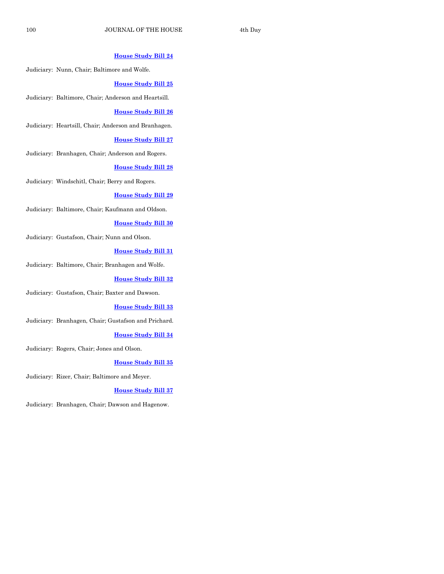#### **[House Study Bill 24](http://coolice.legis.iowa.gov/Cool-ICE/default.asp?Category=billinfo&Service=Billbook&frame=1&GA=86&hbill=HSB24)**

Judiciary: Nunn, Chair; Baltimore and Wolfe.

#### **[House Study Bill 25](http://coolice.legis.iowa.gov/Cool-ICE/default.asp?Category=billinfo&Service=Billbook&frame=1&GA=86&hbill=HSB25)**

Judiciary: Baltimore, Chair; Anderson and Heartsill.

#### **[House Study Bill 26](http://coolice.legis.iowa.gov/Cool-ICE/default.asp?Category=billinfo&Service=Billbook&frame=1&GA=86&hbill=HSB26)**

Judiciary: Heartsill, Chair; Anderson and Branhagen.

#### **[House Study Bill 27](http://coolice.legis.iowa.gov/Cool-ICE/default.asp?Category=billinfo&Service=Billbook&frame=1&GA=86&hbill=HSB27)**

Judiciary: Branhagen, Chair; Anderson and Rogers.

#### **[House Study Bill 28](http://coolice.legis.iowa.gov/Cool-ICE/default.asp?Category=billinfo&Service=Billbook&frame=1&GA=86&hbill=HSB28)**

Judiciary: Windschitl, Chair; Berry and Rogers.

#### **[House Study Bill 29](http://coolice.legis.iowa.gov/Cool-ICE/default.asp?Category=billinfo&Service=Billbook&frame=1&GA=86&hbill=HSB29)**

Judiciary: Baltimore, Chair; Kaufmann and Oldson.

#### **[House Study Bill 30](http://coolice.legis.iowa.gov/Cool-ICE/default.asp?Category=billinfo&Service=Billbook&frame=1&GA=86&hbill=HSB30)**

Judiciary: Gustafson, Chair; Nunn and Olson.

#### **[House Study Bill 31](http://coolice.legis.iowa.gov/Cool-ICE/default.asp?Category=billinfo&Service=Billbook&frame=1&GA=86&hbill=HSB31)**

Judiciary: Baltimore, Chair; Branhagen and Wolfe.

#### **[House Study Bill 32](http://coolice.legis.iowa.gov/Cool-ICE/default.asp?Category=billinfo&Service=Billbook&frame=1&GA=86&hbill=HSB32)**

Judiciary: Gustafson, Chair; Baxter and Dawson.

#### **[House Study Bill 33](http://coolice.legis.iowa.gov/Cool-ICE/default.asp?Category=billinfo&Service=Billbook&frame=1&GA=86&hbill=HSB33)**

Judiciary: Branhagen, Chair; Gustafson and Prichard.

#### **[House Study Bill 34](http://coolice.legis.iowa.gov/Cool-ICE/default.asp?Category=billinfo&Service=Billbook&frame=1&GA=86&hbill=HSB34)**

Judiciary: Rogers, Chair; Jones and Olson.

#### **[House Study Bill 35](http://coolice.legis.iowa.gov/Cool-ICE/default.asp?Category=billinfo&Service=Billbook&frame=1&GA=86&hbill=HSB35)**

Judiciary: Rizer, Chair; Baltimore and Meyer.

#### **[House Study Bill 37](http://coolice.legis.iowa.gov/Cool-ICE/default.asp?Category=billinfo&Service=Billbook&frame=1&GA=86&hbill=HSB37)**

Judiciary: Branhagen, Chair; Dawson and Hagenow.